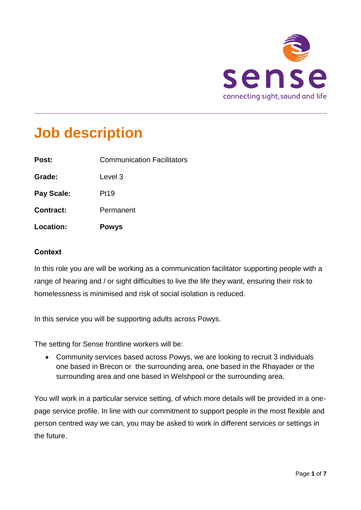

# **Job description**

| Location:         | <b>Powys</b>                      |
|-------------------|-----------------------------------|
| <b>Contract:</b>  | Permanent                         |
| <b>Pay Scale:</b> | <b>Pt19</b>                       |
| Grade:            | Level 3                           |
| Post:             | <b>Communication Facilitators</b> |

# **Context**

Job description

In this role you are will be working as a communication facilitator supporting people with a range of hearing and / or sight difficulties to live the life they want, ensuring their risk to homelessness is minimised and risk of social isolation is reduced.

In this service you will be supporting adults across Powys.

The setting for Sense frontline workers will be:

 Community services based across Powys, we are looking to recruit 3 individuals one based in Brecon or the surrounding area, one based in the Rhayader or the surrounding area and one based in Welshpool or the surrounding area.

You will work in a particular service setting, of which more details will be provided in a onepage service profile. In line with our commitment to support people in the most flexible and person centred way we can, you may be asked to work in different services or settings in the future.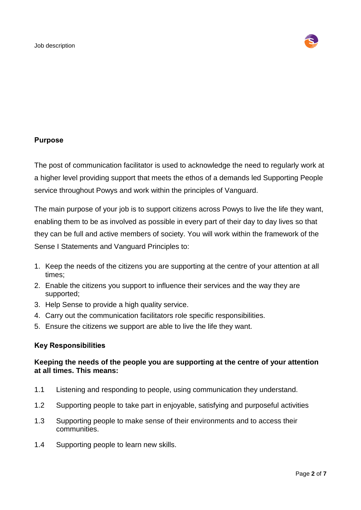

#### **Purpose**

The post of communication facilitator is used to acknowledge the need to regularly work at a higher level providing support that meets the ethos of a demands led Supporting People service throughout Powys and work within the principles of Vanguard.

The main purpose of your job is to support citizens across Powys to live the life they want, enabling them to be as involved as possible in every part of their day to day lives so that they can be full and active members of society. You will work within the framework of the Sense I Statements and Vanguard Principles to:

- 1. Keep the needs of the citizens you are supporting at the centre of your attention at all times;
- 2. Enable the citizens you support to influence their services and the way they are supported;
- 3. Help Sense to provide a high quality service.
- 4. Carry out the communication facilitators role specific responsibilities.
- 5. Ensure the citizens we support are able to live the life they want.

#### **Key Responsibilities**

# **Keeping the needs of the people you are supporting at the centre of your attention at all times. This means:**

- 1.1 Listening and responding to people, using communication they understand.
- 1.2 Supporting people to take part in enjoyable, satisfying and purposeful activities
- 1.3 Supporting people to make sense of their environments and to access their communities.
- 1.4 Supporting people to learn new skills.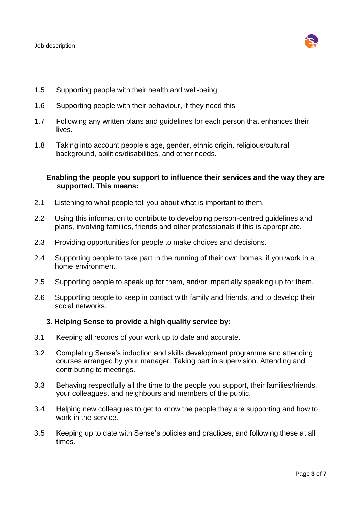

- 1.5 Supporting people with their health and well-being.
- 1.6 Supporting people with their behaviour, if they need this
- 1.7 Following any written plans and guidelines for each person that enhances their lives.
- 1.8 Taking into account people's age, gender, ethnic origin, religious/cultural background, abilities/disabilities, and other needs.

#### **Enabling the people you support to influence their services and the way they are supported. This means:**

- 2.1 Listening to what people tell you about what is important to them.
- 2.2 Using this information to contribute to developing person-centred guidelines and plans, involving families, friends and other professionals if this is appropriate.
- 2.3 Providing opportunities for people to make choices and decisions.
- 2.4 Supporting people to take part in the running of their own homes, if you work in a home environment.
- 2.5 Supporting people to speak up for them, and/or impartially speaking up for them.
- 2.6 Supporting people to keep in contact with family and friends, and to develop their social networks.

#### **3. Helping Sense to provide a high quality service by:**

- 3.1 Keeping all records of your work up to date and accurate.
- 3.2 Completing Sense's induction and skills development programme and attending courses arranged by your manager. Taking part in supervision. Attending and contributing to meetings.
- 3.3 Behaving respectfully all the time to the people you support, their families/friends, your colleagues, and neighbours and members of the public.
- 3.4 Helping new colleagues to get to know the people they are supporting and how to work in the service.
- 3.5 Keeping up to date with Sense's policies and practices, and following these at all times.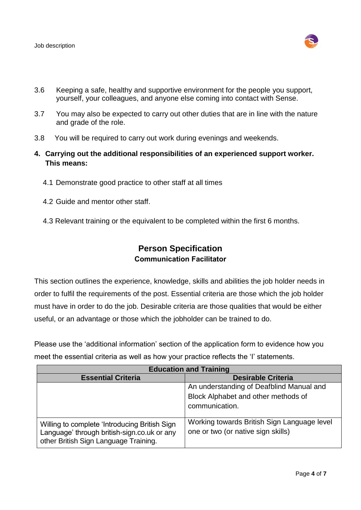

- 3.6 Keeping a safe, healthy and supportive environment for the people you support, yourself, your colleagues, and anyone else coming into contact with Sense.
- 3.7 You may also be expected to carry out other duties that are in line with the nature and grade of the role.
- 3.8 You will be required to carry out work during evenings and weekends.
- **4. Carrying out the additional responsibilities of an experienced support worker. This means:**
	- 4.1 Demonstrate good practice to other staff at all times
	- 4.2 Guide and mentor other staff.
	- 4.3 Relevant training or the equivalent to be completed within the first 6 months.

# **Person Specification Communication Facilitator**

This section outlines the experience, knowledge, skills and abilities the job holder needs in order to fulfil the requirements of the post. Essential criteria are those which the job holder must have in order to do the job. Desirable criteria are those qualities that would be either useful, or an advantage or those which the jobholder can be trained to do.

Please use the 'additional information' section of the application form to evidence how you meet the essential criteria as well as how your practice reflects the 'I' statements.

| <b>Education and Training</b>                                                                                                         |                                                                                                   |  |
|---------------------------------------------------------------------------------------------------------------------------------------|---------------------------------------------------------------------------------------------------|--|
| <b>Essential Criteria</b>                                                                                                             | <b>Desirable Criteria</b>                                                                         |  |
|                                                                                                                                       | An understanding of Deafblind Manual and<br>Block Alphabet and other methods of<br>communication. |  |
| Willing to complete 'Introducing British Sign<br>Language' through british-sign.co.uk or any<br>other British Sign Language Training. | Working towards British Sign Language level<br>one or two (or native sign skills)                 |  |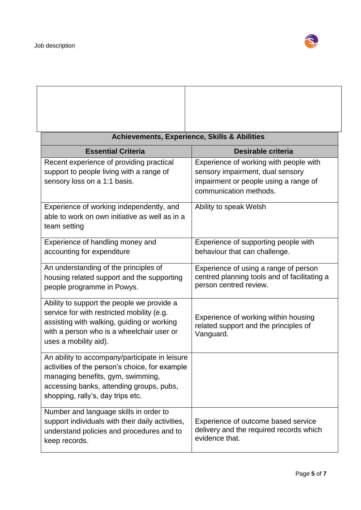

| <b>Achievements, Experience, Skills &amp; Abilities</b>                                                                                                                                                                |                                                                                                                                               |  |
|------------------------------------------------------------------------------------------------------------------------------------------------------------------------------------------------------------------------|-----------------------------------------------------------------------------------------------------------------------------------------------|--|
| <b>Essential Criteria</b>                                                                                                                                                                                              | Desirable criteria                                                                                                                            |  |
| Recent experience of providing practical<br>support to people living with a range of<br>sensory loss on a 1:1 basis.                                                                                                   | Experience of working with people with<br>sensory impairment, dual sensory<br>impairment or people using a range of<br>communication methods. |  |
| Experience of working independently, and<br>able to work on own initiative as well as in a<br>team setting                                                                                                             | Ability to speak Welsh                                                                                                                        |  |
| Experience of handling money and<br>accounting for expenditure                                                                                                                                                         | Experience of supporting people with<br>behaviour that can challenge.                                                                         |  |
| An understanding of the principles of<br>housing related support and the supporting<br>people programme in Powys.                                                                                                      | Experience of using a range of person<br>centred planning tools and of facilitating a<br>person centred review.                               |  |
| Ability to support the people we provide a<br>service for with restricted mobility (e.g.<br>assisting with walking, guiding or working<br>with a person who is a wheelchair user or<br>uses a mobility aid).           | Experience of working within housing<br>related support and the principles of<br>Vanguard.                                                    |  |
| An ability to accompany/participate in leisure<br>activities of the person's choice, for example<br>managing benefits, gym, swimming,<br>accessing banks, attending groups, pubs,<br>shopping, rally's, day trips etc. |                                                                                                                                               |  |
| Number and language skills in order to<br>support individuals with their daily activities,<br>understand policies and procedures and to<br>keep records.                                                               | Experience of outcome based service<br>delivery and the required records which<br>evidence that.                                              |  |

٦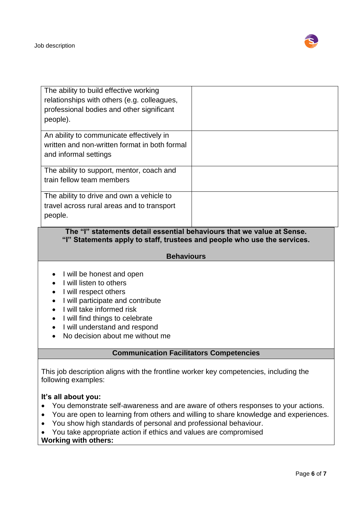

| The ability to build effective working<br>relationships with others (e.g. colleagues,<br>professional bodies and other significant<br>people). |                                                    |
|------------------------------------------------------------------------------------------------------------------------------------------------|----------------------------------------------------|
| An ability to communicate effectively in                                                                                                       |                                                    |
| written and non-written format in both formal                                                                                                  |                                                    |
| and informal settings                                                                                                                          |                                                    |
| The ability to support, mentor, coach and                                                                                                      |                                                    |
| train fellow team members                                                                                                                      |                                                    |
| The ability to drive and own a vehicle to                                                                                                      |                                                    |
| travel across rural areas and to transport                                                                                                     |                                                    |
| people.                                                                                                                                        |                                                    |
|                                                                                                                                                | $\mathbf{t}$ of the transformation of $\mathbf{A}$ |

# **The "I" statements detail essential behaviours that we value at Sense. "I" Statements apply to staff, trustees and people who use the services.**

# **Behaviours**

- I will be honest and open
- I will listen to others
- I will respect others
- I will participate and contribute
- I will take informed risk
- I will find things to celebrate
- I will understand and respond
- No decision about me without me

# **Communication Facilitators Competencies**

This job description aligns with the frontline worker key competencies, including the following examples:

#### **It's all about you:**

- You demonstrate self-awareness and are aware of others responses to your actions.
- You are open to learning from others and willing to share knowledge and experiences.
- You show high standards of personal and professional behaviour.
- You take appropriate action if ethics and values are compromised

#### **Working with others:**